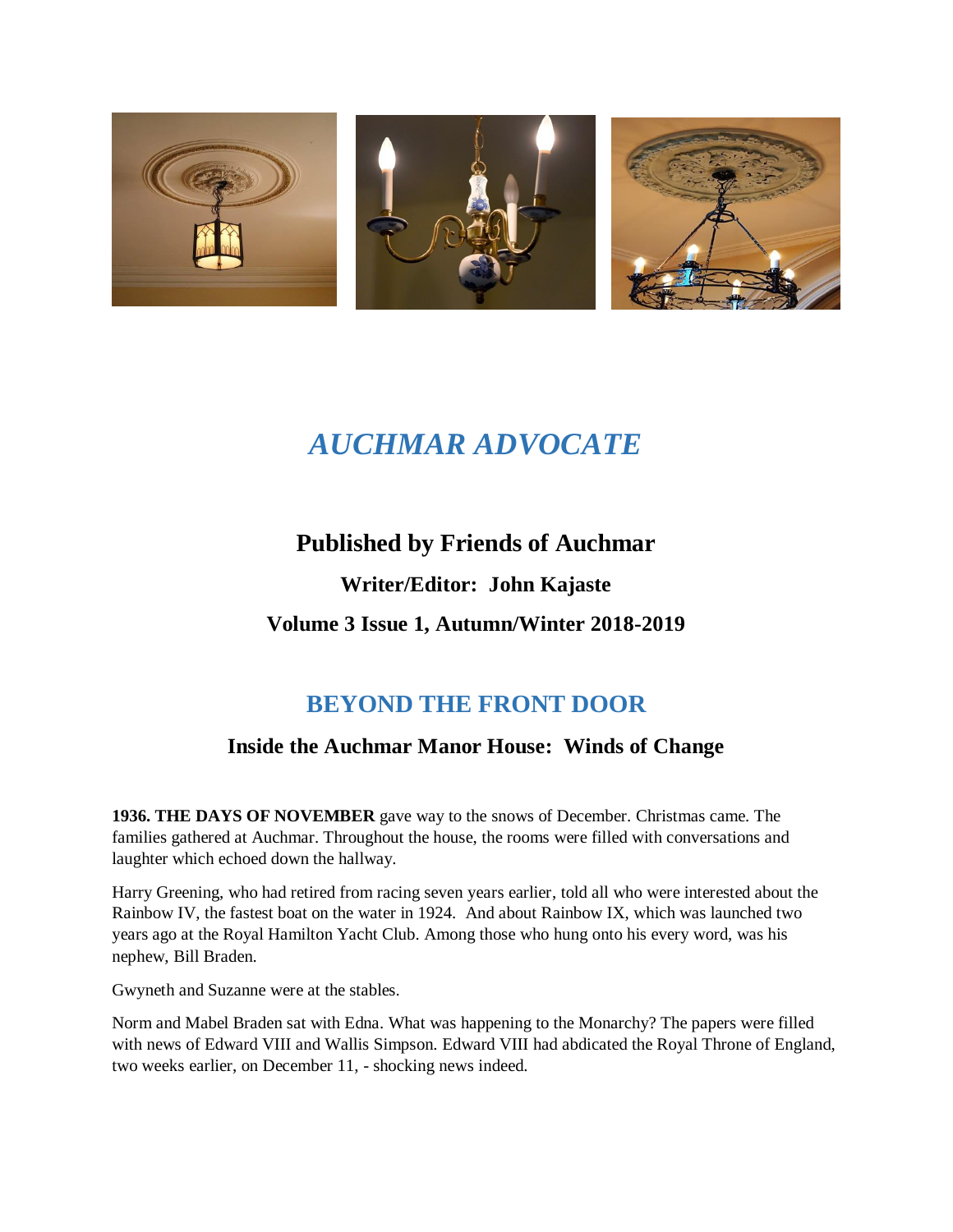

# *AUCHMAR ADVOCATE*

### **Published by Friends of Auchmar**

**Writer/Editor: John Kajaste Volume 3 Issue 1, Autumn/Winter 2018-2019**

## **BEYOND THE FRONT DOOR**

### **Inside the Auchmar Manor House: Winds of Change**

**1936. THE DAYS OF NOVEMBER** gave way to the snows of December. Christmas came. The families gathered at Auchmar. Throughout the house, the rooms were filled with conversations and laughter which echoed down the hallway.

Harry Greening, who had retired from racing seven years earlier, told all who were interested about the Rainbow IV, the fastest boat on the water in 1924. And about Rainbow IX, which was launched two years ago at the Royal Hamilton Yacht Club. Among those who hung onto his every word, was his nephew, Bill Braden.

Gwyneth and Suzanne were at the stables.

Norm and Mabel Braden sat with Edna. What was happening to the Monarchy? The papers were filled with news of Edward VIII and Wallis Simpson. Edward VIII had abdicated the Royal Throne of England, two weeks earlier, on December 11, - shocking news indeed.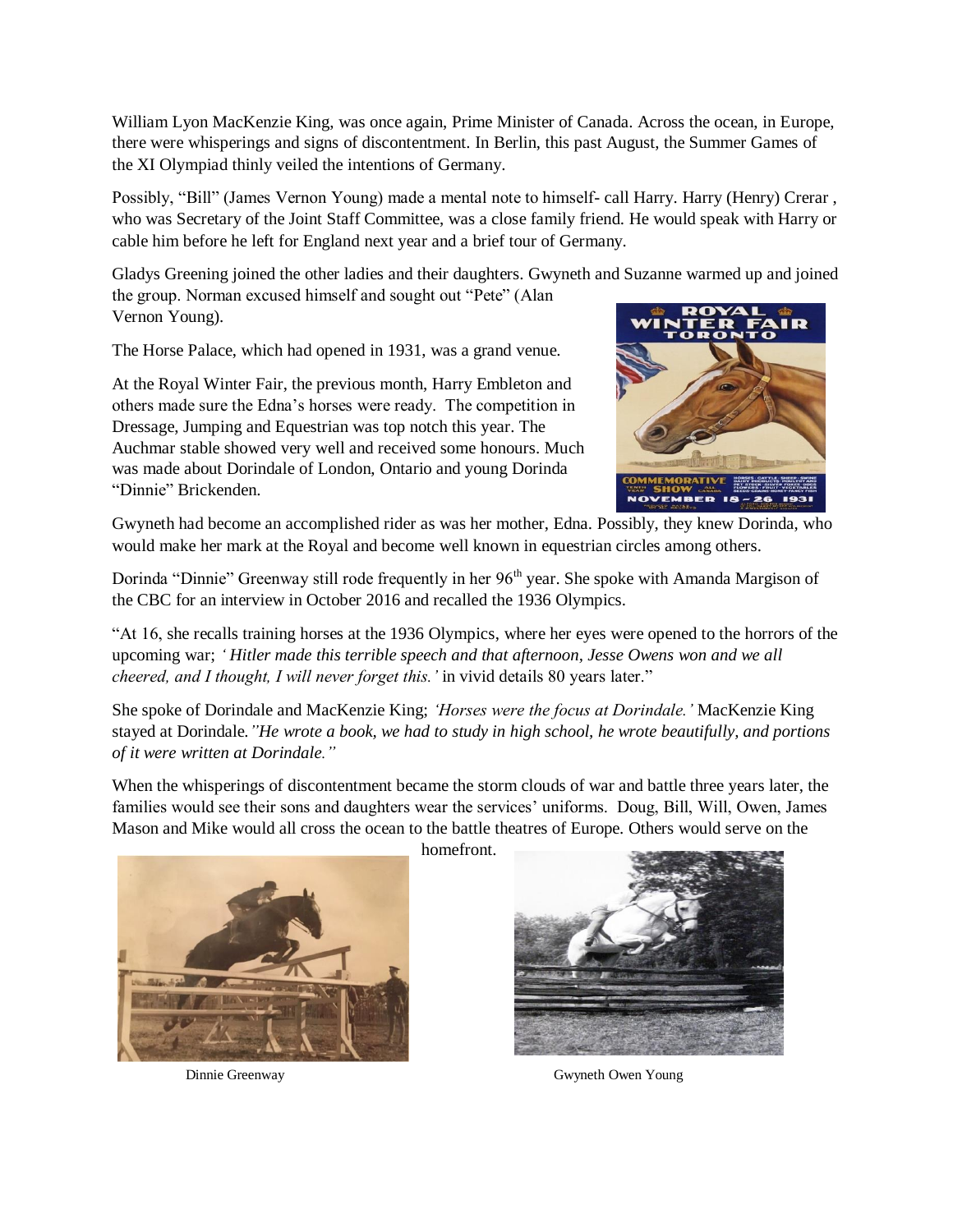William Lyon MacKenzie King, was once again, Prime Minister of Canada. Across the ocean, in Europe, there were whisperings and signs of discontentment. In Berlin, this past August, the Summer Games of the XI Olympiad thinly veiled the intentions of Germany.

Possibly, "Bill" (James Vernon Young) made a mental note to himself- call Harry. Harry (Henry) Crerar , who was Secretary of the Joint Staff Committee, was a close family friend. He would speak with Harry or cable him before he left for England next year and a brief tour of Germany.

Gladys Greening joined the other ladies and their daughters. Gwyneth and Suzanne warmed up and joined the group. Norman excused himself and sought out "Pete" (Alan Vernon Young).

The Horse Palace, which had opened in 1931, was a grand venue.

At the Royal Winter Fair, the previous month, Harry Embleton and others made sure the Edna's horses were ready. The competition in Dressage, Jumping and Equestrian was top notch this year. The Auchmar stable showed very well and received some honours. Much was made about Dorindale of London, Ontario and young Dorinda "Dinnie" Brickenden.



Gwyneth had become an accomplished rider as was her mother, Edna. Possibly, they knew Dorinda, who would make her mark at the Royal and become well known in equestrian circles among others.

Dorinda "Dinnie" Greenway still rode frequently in her 96<sup>th</sup> year. She spoke with Amanda Margison of the CBC for an interview in October 2016 and recalled the 1936 Olympics.

"At 16, she recalls training horses at the 1936 Olympics, where her eyes were opened to the horrors of the upcoming war; *' Hitler made this terrible speech and that afternoon, Jesse Owens won and we all cheered, and I thought, I will never forget this.'* in vivid details 80 years later."

She spoke of Dorindale and MacKenzie King; *'Horses were the focus at Dorindale.'* MacKenzie King stayed at Dorindale*."He wrote a book, we had to study in high school, he wrote beautifully, and portions of it were written at Dorindale."*

When the whisperings of discontentment became the storm clouds of war and battle three years later, the families would see their sons and daughters wear the services' uniforms. Doug, Bill, Will, Owen, James Mason and Mike would all cross the ocean to the battle theatres of Europe. Others would serve on the

homefront.





Dinnie Greenway Gwyneth Owen Young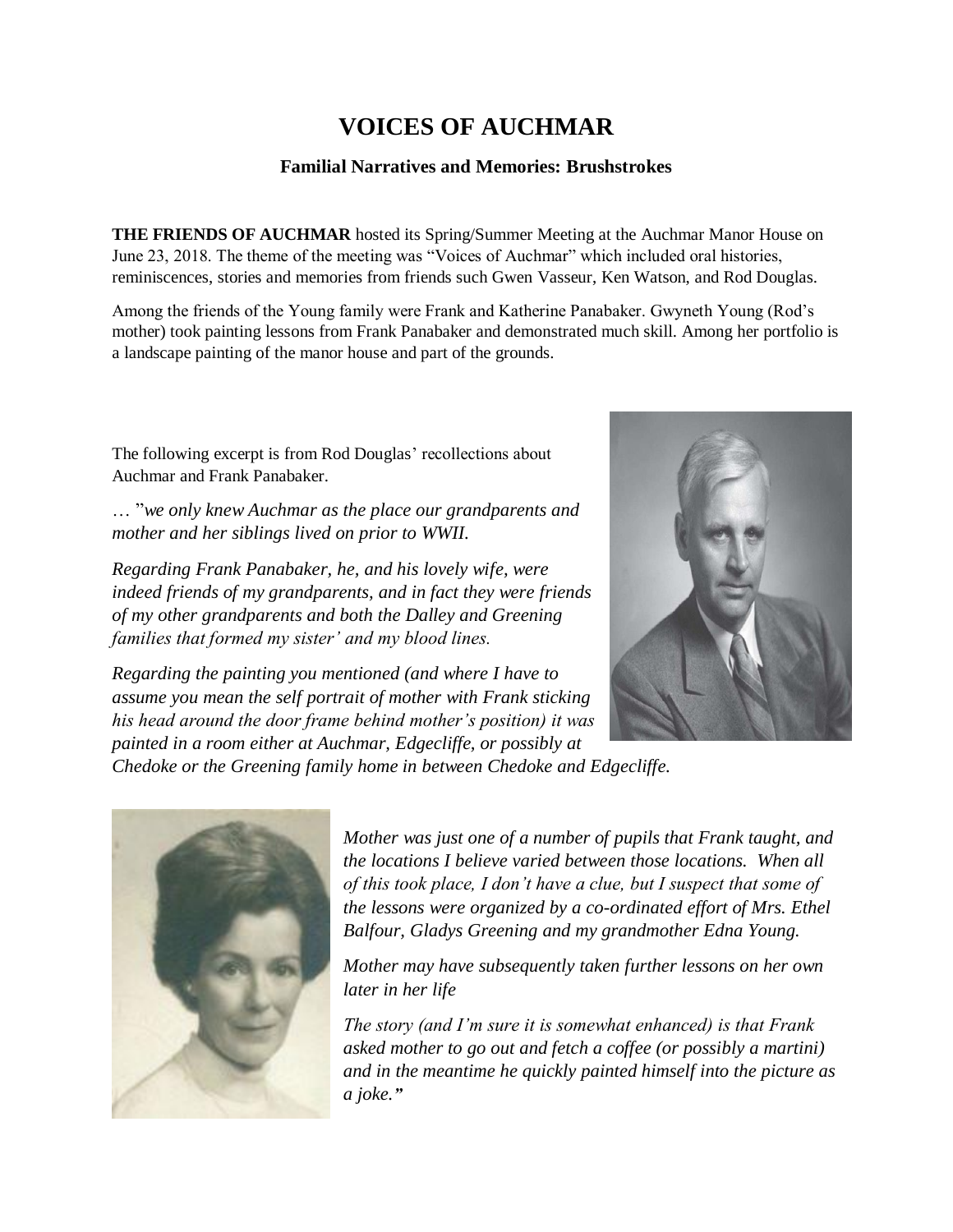## **VOICES OF AUCHMAR**

#### **Familial Narratives and Memories: Brushstrokes**

**THE FRIENDS OF AUCHMAR** hosted its Spring/Summer Meeting at the Auchmar Manor House on June 23, 2018. The theme of the meeting was "Voices of Auchmar" which included oral histories, reminiscences, stories and memories from friends such Gwen Vasseur, Ken Watson, and Rod Douglas.

Among the friends of the Young family were Frank and Katherine Panabaker. Gwyneth Young (Rod's mother) took painting lessons from Frank Panabaker and demonstrated much skill. Among her portfolio is a landscape painting of the manor house and part of the grounds.

The following excerpt is from Rod Douglas' recollections about Auchmar and Frank Panabaker.

… "*we only knew Auchmar as the place our grandparents and mother and her siblings lived on prior to WWII.*

*Regarding Frank Panabaker, he, and his lovely wife, were indeed friends of my grandparents, and in fact they were friends of my other grandparents and both the Dalley and Greening families that formed my sister' and my blood lines.*



*Regarding the painting you mentioned (and where I have to assume you mean the self portrait of mother with Frank sticking his head around the door frame behind mother's position) it was painted in a room either at Auchmar, Edgecliffe, or possibly at* 

*Chedoke or the Greening family home in between Chedoke and Edgecliffe.*



*Mother was just one of a number of pupils that Frank taught, and the locations I believe varied between those locations. When all of this took place, I don't have a clue, but I suspect that some of the lessons were organized by a co-ordinated effort of Mrs. Ethel Balfour, Gladys Greening and my grandmother Edna Young.*

*Mother may have subsequently taken further lessons on her own later in her life*

*The story (and I'm sure it is somewhat enhanced) is that Frank asked mother to go out and fetch a coffee (or possibly a martini) and in the meantime he quickly painted himself into the picture as a joke."*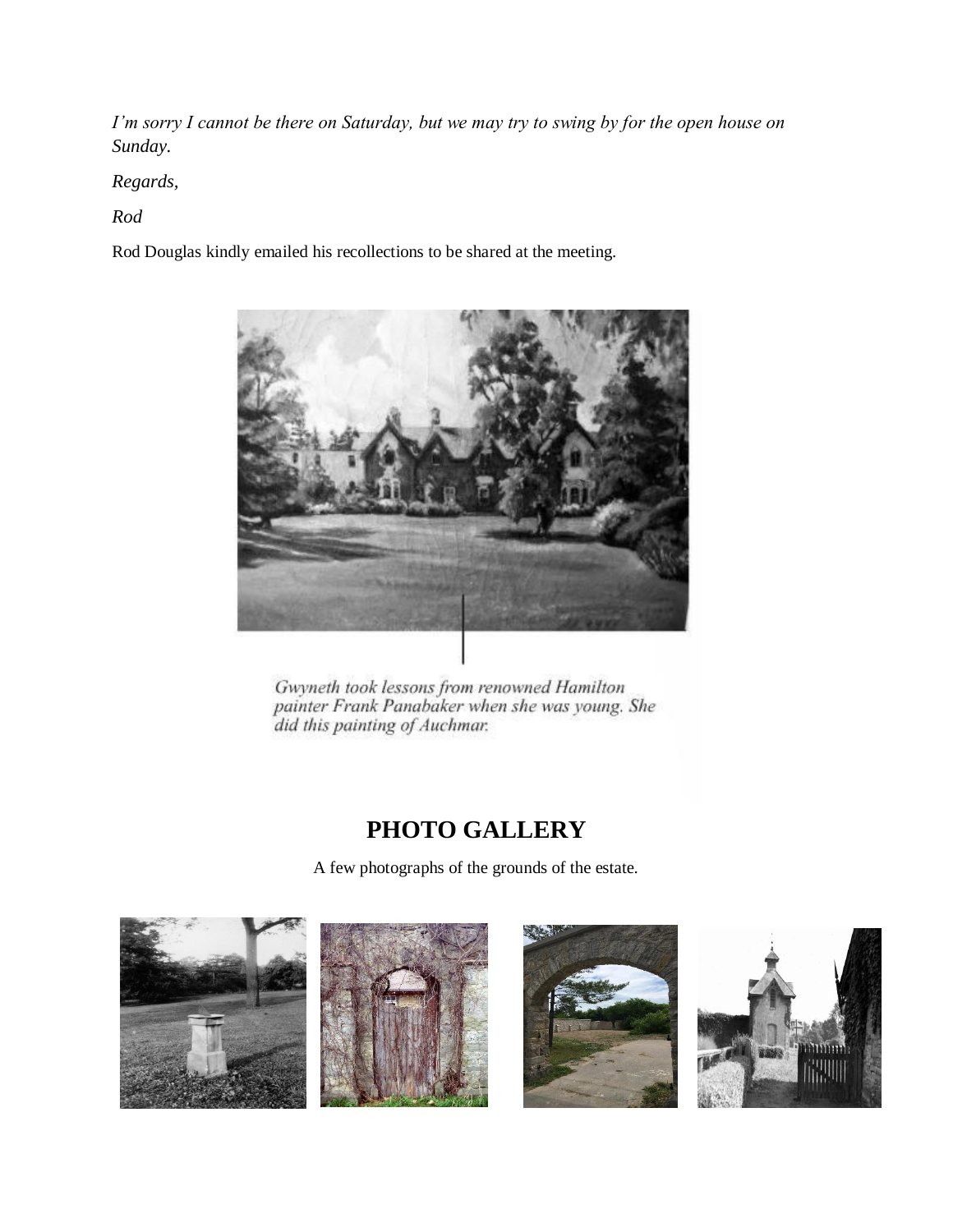*I'm sorry I cannot be there on Saturday, but we may try to swing by for the open house on Sunday.*

*Regards,*

*Rod*

Rod Douglas kindly emailed his recollections to be shared at the meeting.



Gwyneth took lessons from renowned Hamilton painter Frank Panabaker when she was young. She did this painting of Auchmar.

## **PHOTO GALLERY**

A few photographs of the grounds of the estate.





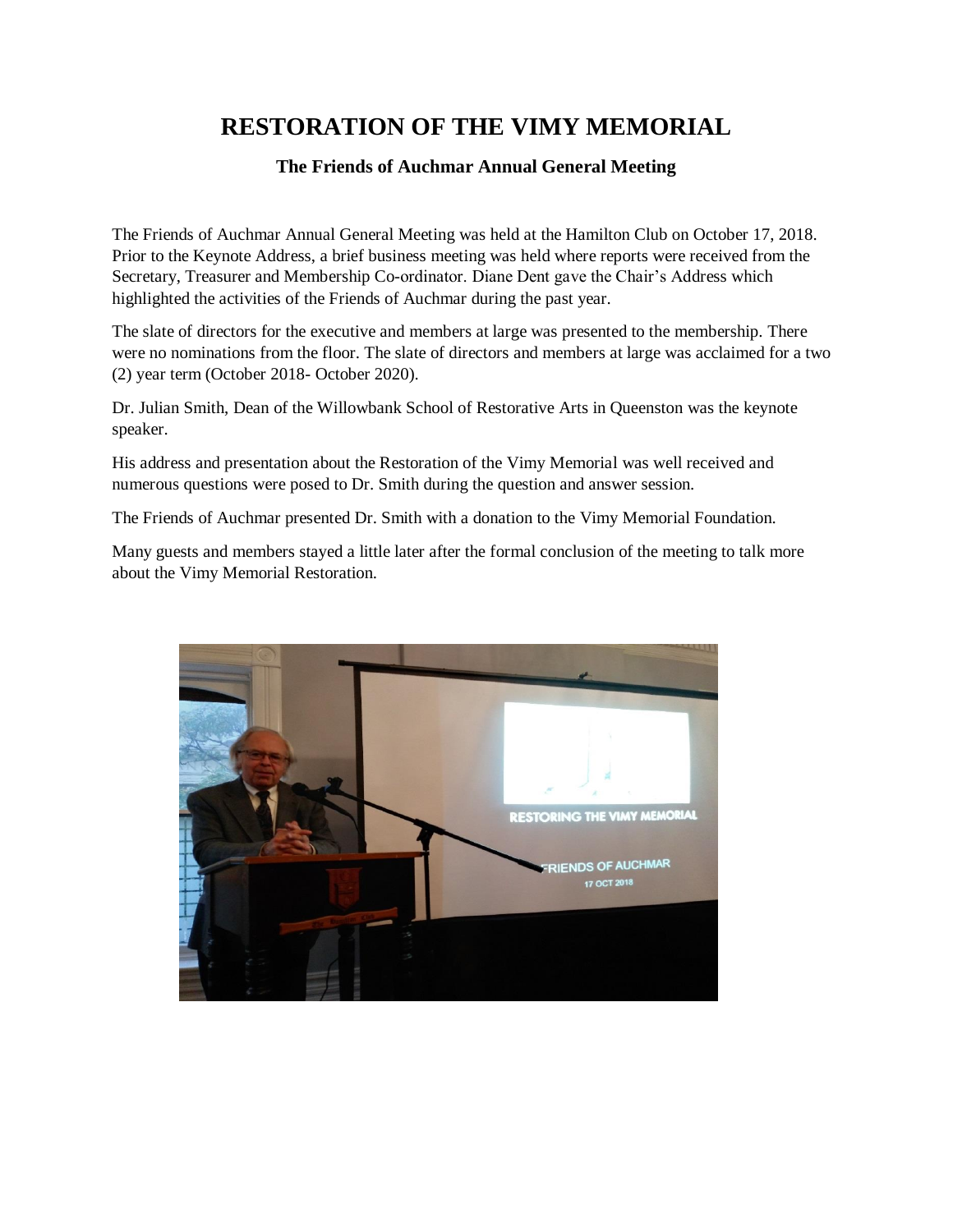## **RESTORATION OF THE VIMY MEMORIAL**

#### **The Friends of Auchmar Annual General Meeting**

The Friends of Auchmar Annual General Meeting was held at the Hamilton Club on October 17, 2018. Prior to the Keynote Address, a brief business meeting was held where reports were received from the Secretary, Treasurer and Membership Co-ordinator. Diane Dent gave the Chair's Address which highlighted the activities of the Friends of Auchmar during the past year.

The slate of directors for the executive and members at large was presented to the membership. There were no nominations from the floor. The slate of directors and members at large was acclaimed for a two (2) year term (October 2018- October 2020).

Dr. Julian Smith, Dean of the Willowbank School of Restorative Arts in Queenston was the keynote speaker.

His address and presentation about the Restoration of the Vimy Memorial was well received and numerous questions were posed to Dr. Smith during the question and answer session.

The Friends of Auchmar presented Dr. Smith with a donation to the Vimy Memorial Foundation.

Many guests and members stayed a little later after the formal conclusion of the meeting to talk more about the Vimy Memorial Restoration.